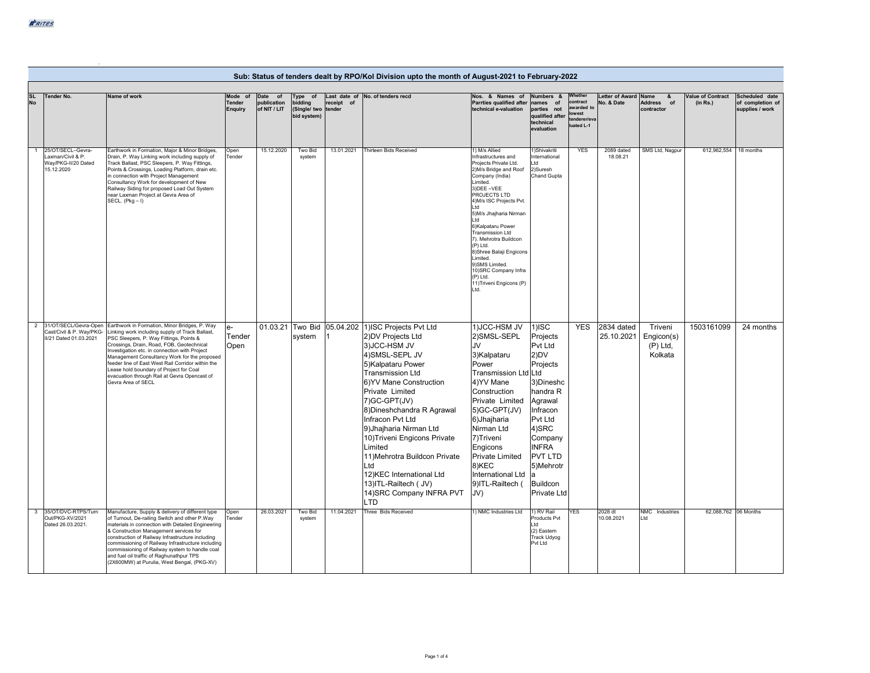|                        | Sub: Status of tenders dealt by RPO/Kol Division upto the month of August-2021 to February-2022 |                                                                                                                                                                                                                                                                                                                                                                                                                                                                                       |                                     |                                        |                                                          |            |                                                                                                                                                                                                                                                                                                                                                                                                                                                                                         |                                                                                                                                                                                                                                                                                                                                                                                                                                           |                                                                                                                                                                                                                              |                                                                         |                                      |                                                |                               |                                                       |
|------------------------|-------------------------------------------------------------------------------------------------|---------------------------------------------------------------------------------------------------------------------------------------------------------------------------------------------------------------------------------------------------------------------------------------------------------------------------------------------------------------------------------------------------------------------------------------------------------------------------------------|-------------------------------------|----------------------------------------|----------------------------------------------------------|------------|-----------------------------------------------------------------------------------------------------------------------------------------------------------------------------------------------------------------------------------------------------------------------------------------------------------------------------------------------------------------------------------------------------------------------------------------------------------------------------------------|-------------------------------------------------------------------------------------------------------------------------------------------------------------------------------------------------------------------------------------------------------------------------------------------------------------------------------------------------------------------------------------------------------------------------------------------|------------------------------------------------------------------------------------------------------------------------------------------------------------------------------------------------------------------------------|-------------------------------------------------------------------------|--------------------------------------|------------------------------------------------|-------------------------------|-------------------------------------------------------|
| <b>SL</b><br><b>No</b> | <b>Tender No.</b>                                                                               | Name of work                                                                                                                                                                                                                                                                                                                                                                                                                                                                          | Mode of<br>Tender<br><b>Enquiry</b> | Date of<br>publication<br>of NIT / LIT | Type of<br>bidding<br>(Single/ two tender<br>bid system) | receipt of | Last date of No. of tenders recd                                                                                                                                                                                                                                                                                                                                                                                                                                                        | Nos. & Names of<br>Parrties qualified after<br>technical e-valuation                                                                                                                                                                                                                                                                                                                                                                      | Numbers &<br>names of<br>parties not<br>qualified after<br>technical<br>evaluation                                                                                                                                           | Whether<br>contract<br>awarded t<br>lowest<br>tenderer/eva<br>uated L-1 | <b>Letter of Award</b><br>No. & Date | Name<br>&<br>Address of<br>contractor          | Value of Contract<br>(in Rs.) | Scheduled date<br>of completion of<br>supplies / work |
| $\mathbf{1}$           | 25/OT/SECL-Gevra-<br>Laxman/Civil & P.<br>Way/PKG-II/20 Dated<br>15.12.2020                     | Earthwork in Formation, Major & Minor Bridges,<br>Drain, P. Way Linking work including supply of<br>Track Ballast, PSC Sleepers, P. Way Fittings,<br>Points & Crossings, Loading Platform, drain etc.<br>in connection with Project Management<br>Consultancy Work for development of New<br>Railway Siding for proposed Load Out System<br>near Laxman Project at Gevra Area of<br>$SECL. (Pkg - I)$                                                                                 | Open<br>Tender                      | 15.12.2020                             | Two Bid<br>system                                        | 13.01.2021 | Thirteen Bids Received                                                                                                                                                                                                                                                                                                                                                                                                                                                                  | 1) M/s Allied<br>Infrastructures and<br>Projects Private Ltd.<br>2)M/s Bridge and Roof<br>Company (India)<br>Limited.<br>3) DEE-VEE<br>PROJECTS LTD<br>4) M/s ISC Projects Pvt<br>ht I<br>5)M/s Jhajharia Nirman<br>I td<br>6) Kalpataru Power<br>Transmission Ltd<br>7). Mehrotra Buildcon<br>(P) Ltd.<br>8)Shree Balaji Engicons<br>Limited.<br>9)SMS Limited.<br>10) SRC Company Infra<br>(P) Ltd.<br>11) Triveni Engicons (P)<br>Ltd. | 1)Shivakriti<br>International<br>I td<br>2)Suresh<br>Chand Gupta                                                                                                                                                             | <b>YES</b>                                                              | 2089 dated<br>18.08.21               | SMS Ltd, Nagpur                                | 612,962,554                   | 18 months                                             |
| $\overline{2}$         | Cast/Civil & P. Way/PKG-<br>II/21 Dated 01.03.2021                                              | 31/OT/SECL/Gevra-Open Earthwork in Formation, Minor Bridges, P. Way<br>Linking work including supply of Track Ballast,<br>PSC Sleepers, P. Way Fittings, Points &<br>Crossings, Drain, Road, FOB, Geotechnical<br>Investigation etc. in connection with Project<br>Management Consultancy Work for the proposed<br>feeder line of East West Rail Corridor within the<br>Lease hold boundary of Project for Coal<br>evacuation through Rail at Gevra Opencast of<br>Gevra Area of SECL | $e-$<br>Tender<br>Open              |                                        | system                                                   |            | 01.03.21 Two Bid 05.04.202 1)ISC Projects Pvt Ltd<br>2) DV Projects Ltd<br>3) JCC-HSM JV<br>4) SMSL-SEPL JV<br>5) Kalpataru Power<br><b>Transmission Ltd</b><br>6) YV Mane Construction<br>Private Limited<br>7) GC-GPT (JV)<br>8) Dineshchandra R Agrawal<br>Infracon Pvt Ltd<br>9) Jhajharia Nirman Ltd<br>10) Triveni Engicons Private<br>Limited<br>11) Mehrotra Buildcon Private<br>Ltd<br>12) KEC International Ltd<br>13) ITL-Railtech ( JV)<br>14) SRC Company INFRA PVT<br>LTD | 1) JCC-HSM JV<br>2)SMSL-SEPL<br>JV<br>3)Kalpataru<br>Power<br>Transmission Ltd Ltd<br>4) YV Mane<br>Construction<br>Private Limited<br>5)GC-GPT(JV)<br>6) Jhajharia<br>Nirman Ltd<br>7)Triveni<br>Engicons<br><b>Private Limited</b><br>8)KEC<br>International Ltd<br>9) ITL-Railtech (<br>JV)                                                                                                                                            | $1$ ) $\text{ISC}$<br>Projects<br>Pvt Ltd<br>2)DV<br>Projects<br>3)Dineshc<br>handra R<br>Agrawal<br>Infracon<br>Pvt Ltd<br>4)SRC<br>Company<br><b>INFRA</b><br><b>PVT LTD</b><br>5)Mehrotr<br>la<br>Buildcon<br>Private Ltd | <b>YES</b>                                                              | 2834 dated<br>25.10.2021             | Triveni<br>Engicon(s)<br>$(P)$ Ltd,<br>Kolkata | 1503161099                    | 24 months                                             |
| $\mathbf{3}$           | 35/OT/DVC-RTPS/Turn<br>Out/PKG-XV/2021<br>Dated 26.03.2021                                      | Manufacture, Supply & delivery of different type<br>of Turnout, De-railing Switch and other P.Way<br>materials in connection with Detailed Engineering<br>& Construction Management services for<br>construction of Railway Infrastructure including<br>commissioning of Railway Infrastructure including<br>commissioning of Railway system to handle coal<br>and fuel oil traffic of Raghunathpur TPS<br>(2X600MW) at Purulia, West Bengal, (PKG-XV)                                | Open<br>Tender                      | 26.03.2021                             | Two Bid<br>system                                        | 11.04.2021 | Three Bids Received                                                                                                                                                                                                                                                                                                                                                                                                                                                                     | 1) NMC Industries Ltd                                                                                                                                                                                                                                                                                                                                                                                                                     | 1) RV Rail<br>Products Pvt<br>Ltd<br>(2) Eastern<br>Track Udyog<br>Pvt Ltd                                                                                                                                                   | <b>YES</b>                                                              | 2028 dt<br>10.08.2021                | NMC Industries<br>I td                         |                               | 62,088,762 06 Months                                  |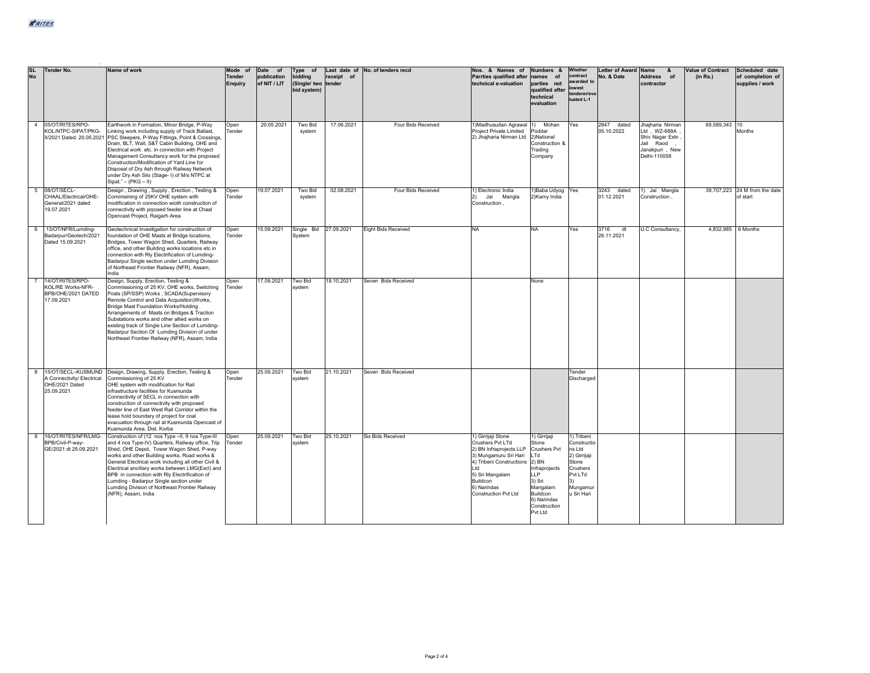| <b>SL</b><br>No | <b>Tender No.</b>                                                         | Name of work                                                                                                                                                                                                                                                                                                                                                                                                                                                                                           | Mode of<br><b>Tender</b><br><b>Enquiry</b> | Date of<br>publication<br>of NIT / LIT | Type of<br>bidding<br>(Single/ two tender<br>bid system) | receipt of | Last date of No. of tenders recd | Nos. & Names of<br>Parrties qualified after<br>technical e-valuation                                                                                                                                        | Numbers &<br>names of<br>parties not<br>qualified after<br>technical<br>evaluation                                                                                      | Whether<br>contract<br>awarded to<br>lowest<br>tenderer/eva<br>luated L-1                                           | <b>Letter of Award</b><br>No. & Date | Name<br>$\mathbf{a}$<br>Address of<br>contractor                                                   | <b>Value of Contract</b><br>(in Rs.) | Scheduled date<br>of completion of<br>supplies / work |
|-----------------|---------------------------------------------------------------------------|--------------------------------------------------------------------------------------------------------------------------------------------------------------------------------------------------------------------------------------------------------------------------------------------------------------------------------------------------------------------------------------------------------------------------------------------------------------------------------------------------------|--------------------------------------------|----------------------------------------|----------------------------------------------------------|------------|----------------------------------|-------------------------------------------------------------------------------------------------------------------------------------------------------------------------------------------------------------|-------------------------------------------------------------------------------------------------------------------------------------------------------------------------|---------------------------------------------------------------------------------------------------------------------|--------------------------------------|----------------------------------------------------------------------------------------------------|--------------------------------------|-------------------------------------------------------|
|                 | 4 05/OT/RITES/RPO-<br>KOL/NTPC-SIPAT/PKG-                                 | Earthwork in Formation, Minor Bridge, P-Way<br>Linking work including supply of Track Ballast,<br>II/2021 Dated. 20.05.2021 PSC Sleepers, P-Way Fittings, Point & Crossings,<br>Drain, BLT, Wall, S&T Cabin Building, OHE and<br>Electrical work etc. in connection with Project<br>Management Consultancy work for the proposed<br>Construction/Modification of Yard Line for<br>Disposal of Dry Ash through Railway Network<br>under Dry Ash Silo (Stage-1) of M/s NTPC at<br>$Sipat." - (PKG - II)$ | Open<br>Tender                             | 20.05.2021                             | Two Bid<br>system                                        | 17.06.2021 | Four Bids Received               | 1) Madhusudan Agrawal 1)<br><b>Project Private Limited</b><br>2) Jhajharia Nirman Ltd                                                                                                                       | Mohan<br>oddar <sup>®</sup><br>2)National<br>Construction &<br>Trading<br>Company                                                                                       | Yes                                                                                                                 | 2647 dated<br>05.10.2022             | Jhaiharia Nirman<br>Ltd. WZ-688A<br>Shiv Nagar Extn<br>Jail Raod<br>Janakpuri, New<br>Delhi-110058 | 69.589.343 10                        | Months                                                |
| 5               | 08/OT/SECL-<br>CHAAL/Electrical/OHE-<br>General/2021 dated<br>19.07.2021  | Design, Drawing, Supply, Erection, Testing &<br>Commisining of 25KV OHE system with<br>modification in connection wioth construction of<br>connectivity with proosed feeder line at Chaal<br>Opencast Project, Rajgarh Area                                                                                                                                                                                                                                                                            | Open<br>Tender                             | 19.07.2021                             | Two Bid<br>system                                        | 02.08.2021 | Four Bids Received               | 1) Electronic India<br>2) Jai Mangla<br>Construction,                                                                                                                                                       | 1) Baba Udyog Yes<br>2) Kamy India                                                                                                                                      |                                                                                                                     | 3243 dated<br>01.12.2021             | 1) Jai Mangla<br>Construction,                                                                     |                                      | 39,707,223 24 M from the date<br>of start             |
| 6               | 13/OT/NFR/Lumding-<br>Badarpur/Geotech/2021<br>Dated 15.09.2021           | Geotechnical Investigation for construction of<br>foundation of OHE Masts at Bridge locations.<br>Bridges, Tower Wagon Shed, Quarters, Railway<br>office, and other Building works locations etc in<br>connection with Rly Electrification of Lumding-<br>Badarpur Single section under Lumding Division<br>of Northeast Frontier Railway (NFR), Assam,<br>India                                                                                                                                       | Open<br>Tender                             | 15.09.2021                             | Single Bid 27.09.2021<br>System                          |            | <b>Eight Bids Received</b>       | <b>NA</b>                                                                                                                                                                                                   | <b>NA</b>                                                                                                                                                               | Yes                                                                                                                 | 3716<br>dt<br>26.11.2021             | U.C Consultancy,                                                                                   | 4,832,985 6 Months                   |                                                       |
|                 | 14/OT/RITES/RPO-<br>KOL/RE Works-NFR-<br>BPB/OHE/2021 DATED<br>17.09.2021 | Design, Supply, Erection, Testing &<br>Commissioning of 25 KV, OHE works, Switching<br>Posts (SP/SSP) Works, SCADA(Supervisory<br>Remote Control and Data Acquisition)Works,<br>Bridge Mast Foundation Works/Holding<br>Arrangements of Masts on Bridges & Traction<br>Substations works and other allied works on<br>existing track of Single Line Section of Lumding-<br>Badarpur Section Of Lumding Division of under<br>Northeast Frontier Railway (NFR), Assam, India                             | Open<br>Tender                             | 17.09.2021                             | <b>Two Bid</b><br>system                                 | 19.10.2021 | Seven Bids Received              |                                                                                                                                                                                                             | None                                                                                                                                                                    |                                                                                                                     |                                      |                                                                                                    |                                      |                                                       |
|                 | A Connectivity/ Electrical<br>OHE/2021 Dated<br>25.09.2021                | 8 15/OT/SECL-KUSMUND Design, Drawing, Supply, Erection, Testing &<br>Commissioning of 25 KV<br>OHE system with modification for Rail<br>infrastructure facilities for Kusmunda<br>Connectivity of SECL in connection with<br>construction of connectivity with proposed<br>feeder line of East West Rail Corridor within the<br>lease hold boundary of project for coal<br>evacuation through rail at Kusmunda Opencast of<br>Kusmunda Area, Dist. Korba                                               | Open<br>Tender                             | 25.09.2021                             | <b>Two Bid</b><br>system                                 | 21.10.2021 | Seven Bids Received              |                                                                                                                                                                                                             |                                                                                                                                                                         | Tender<br>Discharged                                                                                                |                                      |                                                                                                    |                                      |                                                       |
| -9              | 16/OT/RITES/NFR/LMG-<br>BPB/Civil-P-wav-<br>GE/2021 dt 25.09.2021         | Construction of (12 nos Type -II, 9 nos Type-III<br>and 4 nos Type-IV) Quarters, Railway office, Trip<br>Shed, OHE Depot. Tower Wagon Shed, P-way<br>works and other Building works. Road works &<br>General Electrical work including all other Civil &<br>Electrical ancillary works between LMG(Excl) and<br>BPB in connection with Rly Electrification of<br>Lumding - Badarpur Single section under<br>Lumding Division of Northeast Frontier Railway<br>(NFR), Assam, India                      | Open<br>Tender                             | 25.09.2021                             | Two Bid<br>system                                        | 25.10.2021 | <b>Six Bids Received</b>         | 1) Girrijaji Stone<br>Crushers Pvt LTd<br>2) BN Infraproiects LLP<br>3) Mungamuru Sri Hari<br>4) Tribeni Constructions<br>I td<br>5) Sri Mangalam<br>Buildcon<br>6) Narindas<br><b>Construction Pvt Ltd</b> | 1) Girrijaji<br>Stone<br><b>Crushers Pvt</b><br>LTd<br>2) BN<br>Infraprojects<br><b>LLP</b><br>3) Sri<br>Mangalam<br>Buildcon<br>6) Narindas<br>Construction<br>Pvt Ltd | 1) Tribeni<br>Constructio<br>ns Ltd<br>2) Girrijaji<br>Stone<br>Crushers<br>Pvt LTd<br>3)<br>Mungamur<br>u Sri Hari |                                      |                                                                                                    |                                      |                                                       |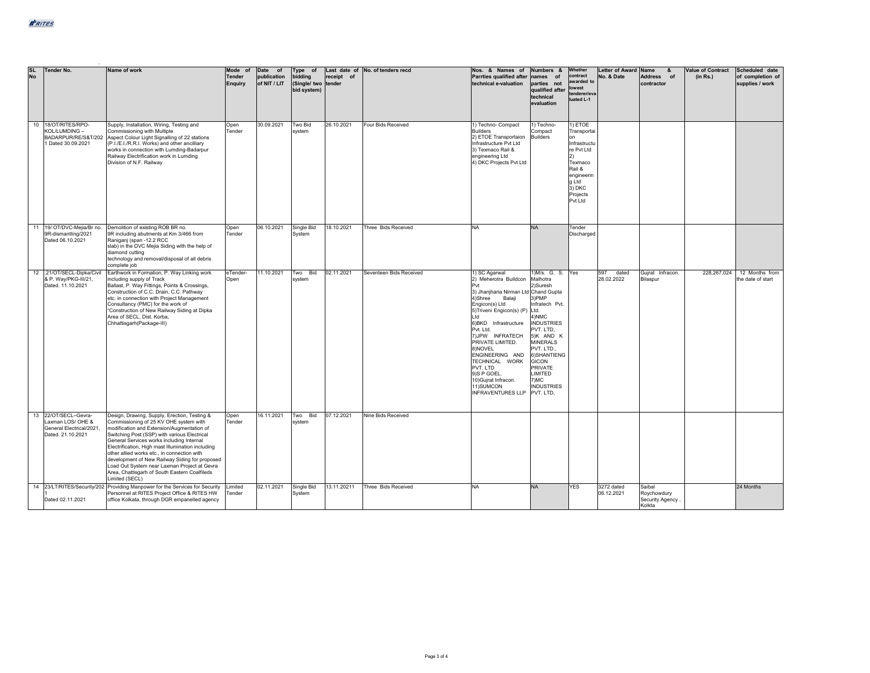| <b>SL</b><br><b>No</b> | Tender No.                                                                                | Name of work                                                                                                                                                                                                                                                                                                                                                                                                                                                                                               | Mode of<br>Tender<br>Enquiry | Date of<br>publication<br>of NIT / LIT | Type of<br>bidding<br>(Single/ two tender<br>bid system) | Last date of<br>receipt of | No. of tenders recd        | Nos. & Names of<br>Parrties qualified after<br>technical e-valuation                                                                                                                                                                                                                                                                                                                | Numbers &<br>of<br>names<br>parties not<br>qualified after<br>technical<br>evaluation                                                                                                                                                                               | Whether<br>contract<br>awarded to<br>lowest<br>tenderer/eva<br>luated L-1                                                                     | Letter of Award Name<br>No. & Date | &<br><b>Address</b><br>of<br>contractor             | Value of Contract<br>(in Rs.) | Scheduled date<br>of completion of<br>supplies / work |
|------------------------|-------------------------------------------------------------------------------------------|------------------------------------------------------------------------------------------------------------------------------------------------------------------------------------------------------------------------------------------------------------------------------------------------------------------------------------------------------------------------------------------------------------------------------------------------------------------------------------------------------------|------------------------------|----------------------------------------|----------------------------------------------------------|----------------------------|----------------------------|-------------------------------------------------------------------------------------------------------------------------------------------------------------------------------------------------------------------------------------------------------------------------------------------------------------------------------------------------------------------------------------|---------------------------------------------------------------------------------------------------------------------------------------------------------------------------------------------------------------------------------------------------------------------|-----------------------------------------------------------------------------------------------------------------------------------------------|------------------------------------|-----------------------------------------------------|-------------------------------|-------------------------------------------------------|
|                        | 10 18/OT/RITES/RPO-<br>KOL/LUMDING -<br>1 Dated 30.09.2021                                | Supply, Installation, Wiring, Testing and<br>Commissioning with Multiple<br>BADARPUR/RE/S&T/202 Aspect Colour Light Signalling of 22 stations<br>(P.I./E.I./R.R.I. Works) and other ancilliary<br>works in connection with Lumding-Badarpur<br>Railway Electrification work in Lumding<br>Division of N.F. Railway                                                                                                                                                                                         | Open<br>Tender               | 30.09.2021                             | Two Bid<br>system                                        | 26.10.2021                 | Four Bids Received         | 1) Techno- Compact<br><b>Builders</b><br>2) ETOE Transportaion<br>Infrastructure Pvt Ltd<br>3) Texmaco Rail &<br>engineering Ltd<br>4) DKC Projects Pvt Ltd                                                                                                                                                                                                                         | 1) Techno-<br>Compact<br><b>Builders</b>                                                                                                                                                                                                                            | 1) ETOE<br>Transportai<br>on<br>Infrastructu<br>re Pvt Ltd<br>2)<br>Texmaco<br>Rail &<br>engineerin<br>g Ltd<br>3) DKC<br>Projects<br>Pvt Ltd |                                    |                                                     |                               |                                                       |
|                        | 11 19/ OT/DVC-Mejia/Br no.<br>9R-dismantling/2021<br>Dated 06.10.2021                     | Demolition of existing ROB BR no.<br>9R including abutments at Km 3/466 from<br>Raniganj (span -12.2 RCC<br>slab) in the DVC Mejia Siding with the help of<br>diamond cutting<br>technology and removal/disposal of all debris<br>complete job                                                                                                                                                                                                                                                             | Open<br>Tender               | 06.10.2021                             | Single Bid<br>System                                     | 18.10.2021                 | <b>Three Bids Received</b> | <b>NA</b>                                                                                                                                                                                                                                                                                                                                                                           | <b>NA</b>                                                                                                                                                                                                                                                           | Tender<br>Discharged                                                                                                                          |                                    |                                                     |                               |                                                       |
|                        | 12 .21/OT/SECL-Dipka/Civil<br>& P. Way/PKG-III/21,<br>Dated, 11.10.2021                   | Earthwork in Formation, P. Way Linking work<br>including supply of Track<br>Ballast, P. Way Fittings, Points & Crossings,<br>Construction of C.C. Drain, C.C. Pathway<br>etc. in connection with Project Management<br>Consultancy (PMC) for the work of<br>"Construction of New Railway Siding at Dipka<br>Area of SECL, Dist. Korba,<br>Chhattisgarh(Package-III)                                                                                                                                        | eTender-<br>Open             | 11.10.2021                             | Two Bid<br>system                                        | 02.11.2021                 | Seventeen Bids Received    | 1) SC Agarwal<br>2) Meherotra Buildcon<br>Pvt<br>3) Jhanjharia Nirman Ltd Chand Gupta<br>4)Shree<br>Balaii<br>Engicon(s) Ltd<br>5) Triveni Engicon(s) (P)<br>Ltd<br>6)BKD Infrastructure<br>Pvt. Ltd.<br>7) JPW INFRATECH<br>PRIVATE LIMITED.<br>8)NOVEL<br>ENGINEERING AND<br>TECHNICAL WORK<br>PVT. LTD<br>9)S P GOEL.<br>10) Gujrat Infracon.<br>11) SUMCON<br>INFRAVENTURES LLP | 1) M/s. G. S. Yes<br>Malhotra<br>2)Suresh<br>3)PMP<br>Infratech Pvt.<br>Ltd.<br>4)NMC<br><b>INDUSTRIES</b><br>PVT. LTD,<br>5)K AND K<br><b>MINERALS</b><br>PVT. LTD<br>6) SHANTIENG<br><b>GICON</b><br>PRIVATE<br>LIMITED<br>7)MC<br><b>INDUSTRIES</b><br>PVT. LTD. |                                                                                                                                               | 597<br>dated<br>28.02.2022         | Gujrat Infracon.<br>Bilaspur                        | 228,267,024                   | 12 Months from<br>the date of start                   |
|                        | 13 22/OT/SECL-Gevra-<br>Laxman LOS/OHE &<br>General Electrical/2021.<br>Dated. 21.10.2021 | Design, Drawing, Supply, Erection, Testing &<br>Commissioning of 25 KV OHE system with<br>modification and Extension/Augmentation of<br>Switching Post (SSP) with various Electrical<br>General Services works including Internal<br>Electrification, High mast Illumination including<br>other allied works etc., in connection with<br>development of New Railway Siding for proposed<br>Load Out System near Laxman Project at Gevra<br>Area, Chattisgarh of South Eastern Coalfileds<br>Limited (SECL) | Open<br>Tender               | 16.11.2021                             | Two Bid<br>system                                        | 07.12.2021                 | Nine Bids Received         |                                                                                                                                                                                                                                                                                                                                                                                     |                                                                                                                                                                                                                                                                     |                                                                                                                                               |                                    |                                                     |                               |                                                       |
|                        | Dated 02.11.2021                                                                          | 14 23/LT/RITES/Security/202 Providing Manpower for the Services for Security<br>Personnel at RITES Project Office & RITES HW<br>office Kolkata, through DGR empanelled agency                                                                                                                                                                                                                                                                                                                              | Limited<br>Tender            | 02.11.2021                             | Single Bid<br>System                                     | 13.11.20211                | Three Bids Received        | <b>NA</b>                                                                                                                                                                                                                                                                                                                                                                           | <b>NA</b>                                                                                                                                                                                                                                                           | <b>YES</b>                                                                                                                                    | 3272 dated<br>06.12.2021           | Saibal<br>Roychowdury<br>Security Agency,<br>Kolkta |                               | 24 Months                                             |